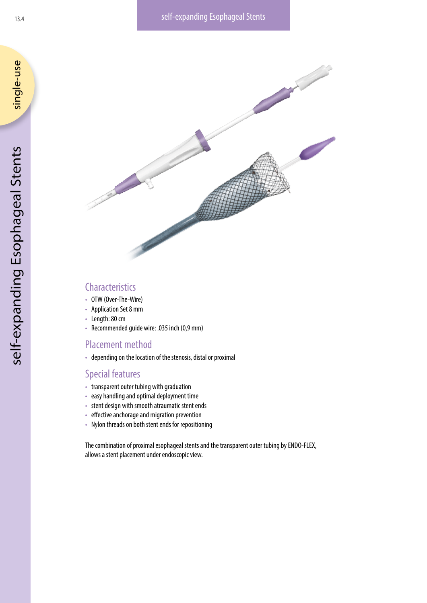

# **Characteristics**

- OTW (Over-The-Wire)
- Application Set 8 mm
- Length: 80 cm
- Recommended guide wire: .035 inch (0,9 mm)

# Placement method

• depending on the location of the stenosis, distal or proximal

### Special features

- transparent outer tubing with graduation
- easy handling and optimal deployment time
- stent design with smooth atraumatic stent ends
- effective anchorage and migration prevention
- Nylon threads on both stent ends for repositioning

The combination of proximal esophageal stents and the transparent outer tubing by ENDO-FLEX, allows a stent placement under endoscopic view.

single-use